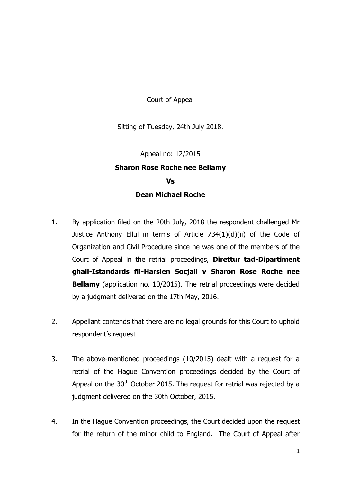Court of Appeal

Sitting of Tuesday, 24th July 2018.

## Appeal no: 12/2015 **Sharon Rose Roche nee Bellamy Vs Dean Michael Roche**

- 1. By application filed on the 20th July, 2018 the respondent challenged Mr Justice Anthony Ellul in terms of Article 734(1)(d)(ii) of the Code of Organization and Civil Procedure since he was one of the members of the Court of Appeal in the retrial proceedings, **Direttur tad-Dipartiment ghall-Istandards fil-Harsien Socjali v Sharon Rose Roche nee Bellamy** (application no. 10/2015). The retrial proceedings were decided by a judgment delivered on the 17th May, 2016.
- 2. Appellant contends that there are no legal grounds for this Court to uphold respondent's request.
- 3. The above-mentioned proceedings (10/2015) dealt with a request for a retrial of the Hague Convention proceedings decided by the Court of Appeal on the  $30<sup>th</sup>$  October 2015. The request for retrial was rejected by a judgment delivered on the 30th October, 2015.
- 4. In the Hague Convention proceedings, the Court decided upon the request for the return of the minor child to England. The Court of Appeal after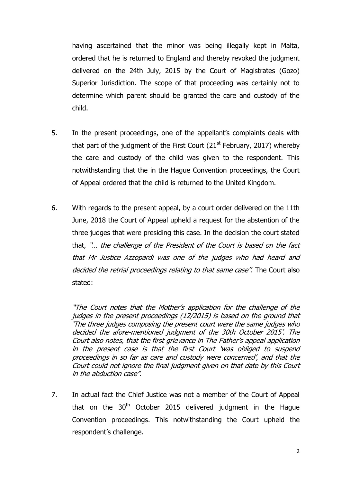having ascertained that the minor was being illegally kept in Malta, ordered that he is returned to England and thereby revoked the judgment delivered on the 24th July, 2015 by the Court of Magistrates (Gozo) Superior Jurisdiction. The scope of that proceeding was certainly not to determine which parent should be granted the care and custody of the child.

- 5. In the present proceedings, one of the appellant's complaints deals with that part of the judgment of the First Court  $(21<sup>st</sup>$  February, 2017) whereby the care and custody of the child was given to the respondent. This notwithstanding that the in the Hague Convention proceedings, the Court of Appeal ordered that the child is returned to the United Kingdom.
- 6. With regards to the present appeal, by a court order delivered on the 11th June, 2018 the Court of Appeal upheld a request for the abstention of the three judges that were presiding this case. In the decision the court stated that, "… the challenge of the President of the Court is based on the fact that Mr Justice Azzopardi was one of the judges who had heard and decided the retrial proceedings relating to that same case". The Court also stated:

"The Court notes that the Mother's application for the challenge of the judges in the present proceedings (12/2015) is based on the ground that 'The three judges composing the present court were the same judges who decided the afore-mentioned judgment of the 30th October 2015'. The Court also notes, that the first grievance in The Father's appeal application in the present case is that the first Court 'was obliged to suspend proceedings in so far as care and custody were concerned', and that the Court could not ignore the final judgment given on that date by this Court in the abduction case".

7. In actual fact the Chief Justice was not a member of the Court of Appeal that on the  $30<sup>th</sup>$  October 2015 delivered judgment in the Hague Convention proceedings. This notwithstanding the Court upheld the respondent's challenge.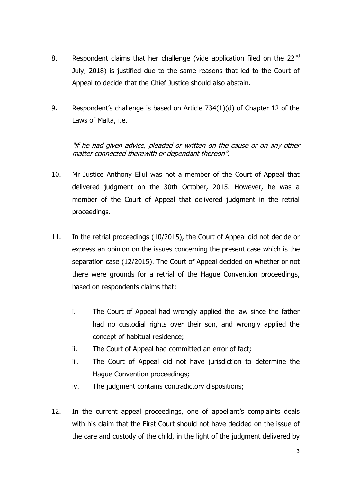- 8. Respondent claims that her challenge (vide application filed on the  $22^{nd}$ July, 2018) is justified due to the same reasons that led to the Court of Appeal to decide that the Chief Justice should also abstain.
- 9. Respondent's challenge is based on Article 734(1)(d) of Chapter 12 of the Laws of Malta, i.e.

"if he had given advice, pleaded or written on the cause or on any other matter connected therewith or dependant thereon".

- 10. Mr Justice Anthony Ellul was not a member of the Court of Appeal that delivered judgment on the 30th October, 2015. However, he was a member of the Court of Appeal that delivered judgment in the retrial proceedings.
- 11. In the retrial proceedings (10/2015), the Court of Appeal did not decide or express an opinion on the issues concerning the present case which is the separation case (12/2015). The Court of Appeal decided on whether or not there were grounds for a retrial of the Hague Convention proceedings, based on respondents claims that:
	- i. The Court of Appeal had wrongly applied the law since the father had no custodial rights over their son, and wrongly applied the concept of habitual residence;
	- ii. The Court of Appeal had committed an error of fact;
	- iii. The Court of Appeal did not have jurisdiction to determine the Hague Convention proceedings;
	- iv. The judgment contains contradictory dispositions;
- 12. In the current appeal proceedings, one of appellant's complaints deals with his claim that the First Court should not have decided on the issue of the care and custody of the child, in the light of the judgment delivered by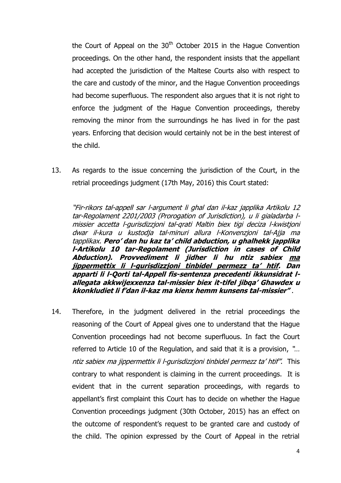the Court of Appeal on the  $30<sup>th</sup>$  October 2015 in the Haque Convention proceedings. On the other hand, the respondent insists that the appellant had accepted the jurisdiction of the Maltese Courts also with respect to the care and custody of the minor, and the Hague Convention proceedings had become superfluous. The respondent also argues that it is not right to enforce the judgment of the Hague Convention proceedings, thereby removing the minor from the surroundings he has lived in for the past years. Enforcing that decision would certainly not be in the best interest of the child.

13. As regards to the issue concerning the jurisdiction of the Court, in the retrial proceedings judgment (17th May, 2016) this Court stated:

"Fir-rikors tal-appell sar l-argument li ghal dan il-kaz japplika Artikolu 12 tar-Regolament 2201/2003 (Prorogation of Jurisdiction), u li gialadarba lmissier accetta l-gurisdizzjoni tal-qrati Maltin biex tigi deciza l-kwistjoni dwar il-kura u kustodja tal-minuri allura l-Konvenzjoni tal-Ajja ma tapplikax. **Pero' dan hu kaz ta' child abduction, u ghalhekk japplika l-Artikolu 10 tar-Regolament (Jurisdiction in cases of Child Abduction). Provvediment li jidher li hu ntiz sabiex ma jippermettix li l-gurisdizzjoni tinbidel permezz ta' htif. Dan apparti li l-Qorti tal-Appell fis-sentenza precedenti ikkunsidrat lallegata akkwijexxenza tal-missier biex it-tifel jibqa' Ghawdex u kkonkludiet li f'dan il-kaz ma kienx hemm kunsens tal-missier"** .

14. Therefore, in the judgment delivered in the retrial proceedings the reasoning of the Court of Appeal gives one to understand that the Hague Convention proceedings had not become superfluous. In fact the Court referred to Article 10 of the Regulation, and said that it is a provision, "… ntiz sabiex ma jippermettix li l-gurisdizzioni tinbidel permezz ta' htif". This contrary to what respondent is claiming in the current proceedings. It is evident that in the current separation proceedings, with regards to appellant's first complaint this Court has to decide on whether the Hague Convention proceedings judgment (30th October, 2015) has an effect on the outcome of respondent's request to be granted care and custody of the child. The opinion expressed by the Court of Appeal in the retrial